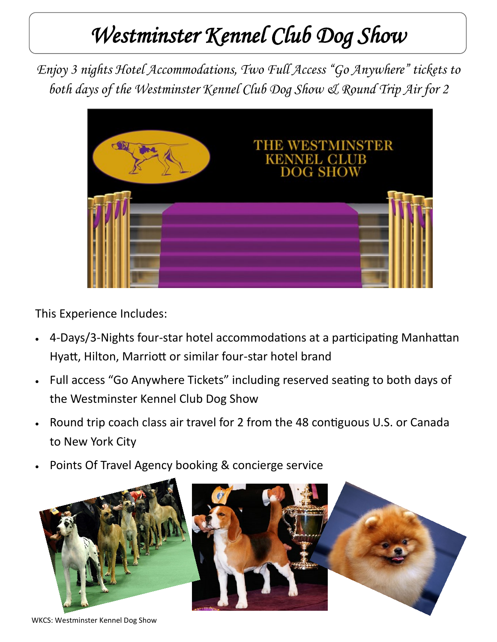## *Westminster Kennel Club Dog Show*

*Enjoy 3 nights Hotel Accommodations, Two Full Access "Go Anywhere" tickets to both days of the Westminster Kennel Club Dog Show & Round Trip Air for 2*



This Experience Includes:

- 4-Days/3-Nights four-star hotel accommodations at a participating Manhattan Hyatt, Hilton, Marriott or similar four-star hotel brand
- Full access "Go Anywhere Tickets" including reserved seating to both days of the Westminster Kennel Club Dog Show
- Round trip coach class air travel for 2 from the 48 contiguous U.S. or Canada to New York City
- Points Of Travel Agency booking & concierge service



WKCS: Westminster Kennel Dog Show